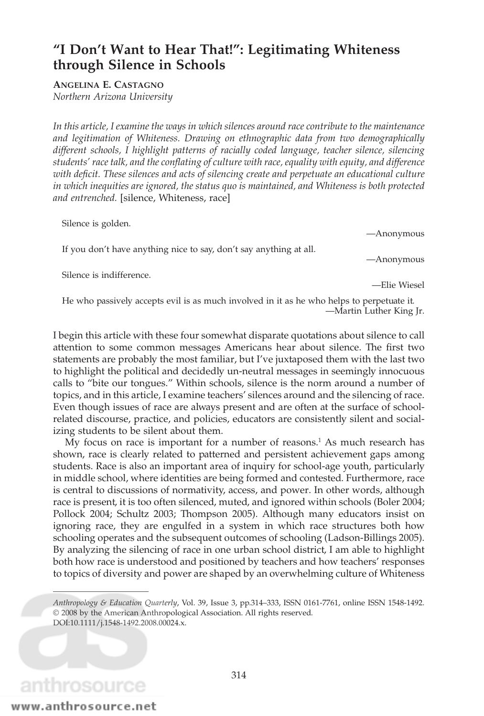### **"I Don't Want to Hear That!": Legitimating Whiteness through Silence in Schools**

**ANGELINA E. CASTAGNO** *Northern Arizona University*

*In this article, I examine the ways in which silences around race contribute to the maintenance and legitimation of Whiteness. Drawing on ethnographic data from two demographically different schools, I highlight patterns of racially coded language, teacher silence, silencing students' race talk, and the conflating of culture with race, equality with equity, and difference with deficit. These silences and acts of silencing create and perpetuate an educational culture in which inequities are ignored, the status quo is maintained, and Whiteness is both protected and entrenched.* [silence, Whiteness, race]

| Silence is golden.                                                 |              |
|--------------------------------------------------------------------|--------------|
|                                                                    | —Anonymous   |
| If you don't have anything nice to say, don't say anything at all. | —Anonymous   |
|                                                                    |              |
| Silence is indifference.                                           | -Elie Wiesel |
|                                                                    |              |

He who passively accepts evil is as much involved in it as he who helps to perpetuate it. —Martin Luther King Jr.

I begin this article with these four somewhat disparate quotations about silence to call attention to some common messages Americans hear about silence. The first two statements are probably the most familiar, but I've juxtaposed them with the last two to highlight the political and decidedly un-neutral messages in seemingly innocuous calls to "bite our tongues." Within schools, silence is the norm around a number of topics, and in this article, I examine teachers' silences around and the silencing of race. Even though issues of race are always present and are often at the surface of schoolrelated discourse, practice, and policies, educators are consistently silent and socializing students to be silent about them.

My focus on race is important for a number of reasons.<sup>1</sup> As much research has shown, race is clearly related to patterned and persistent achievement gaps among students. Race is also an important area of inquiry for school-age youth, particularly in middle school, where identities are being formed and contested. Furthermore, race is central to discussions of normativity, access, and power. In other words, although race is present, it is too often silenced, muted, and ignored within schools (Boler 2004; Pollock 2004; Schultz 2003; Thompson 2005). Although many educators insist on ignoring race, they are engulfed in a system in which race structures both how schooling operates and the subsequent outcomes of schooling (Ladson-Billings 2005). By analyzing the silencing of race in one urban school district, I am able to highlight both how race is understood and positioned by teachers and how teachers' responses to topics of diversity and power are shaped by an overwhelming culture of Whiteness

*Anthropology & Education Quarterly*, Vol. 39, Issue 3, pp.314–333, ISSN 0161-7761, online ISSN 1548-1492. © 2008 by the American Anthropological Association. All rights reserved. DOI:10.1111/j.1548-1492.2008.00024.x.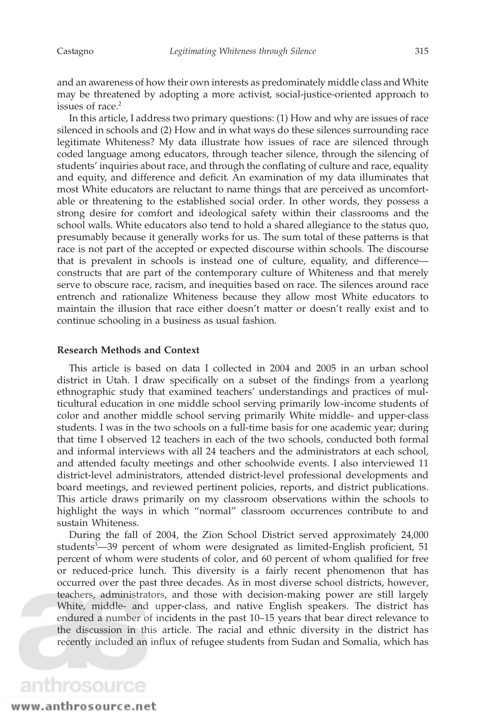and an awareness of how their own interests as predominately middle class and White may be threatened by adopting a more activist, social-justice-oriented approach to issues of race.<sup>2</sup>

In this article, I address two primary questions: (1) How and why are issues of race silenced in schools and (2) How and in what ways do these silences surrounding race legitimate Whiteness? My data illustrate how issues of race are silenced through coded language among educators, through teacher silence, through the silencing of students' inquiries about race, and through the conflating of culture and race, equality and equity, and difference and deficit. An examination of my data illuminates that most White educators are reluctant to name things that are perceived as uncomfortable or threatening to the established social order. In other words, they possess a strong desire for comfort and ideological safety within their classrooms and the school walls. White educators also tend to hold a shared allegiance to the status quo, presumably because it generally works for us. The sum total of these patterns is that race is not part of the accepted or expected discourse within schools. The discourse that is prevalent in schools is instead one of culture, equality, and difference constructs that are part of the contemporary culture of Whiteness and that merely serve to obscure race, racism, and inequities based on race. The silences around race entrench and rationalize Whiteness because they allow most White educators to maintain the illusion that race either doesn't matter or doesn't really exist and to continue schooling in a business as usual fashion.

### **Research Methods and Context**

This article is based on data I collected in 2004 and 2005 in an urban school district in Utah. I draw specifically on a subset of the findings from a yearlong ethnographic study that examined teachers' understandings and practices of multicultural education in one middle school serving primarily low-income students of color and another middle school serving primarily White middle- and upper-class students. I was in the two schools on a full-time basis for one academic year; during that time I observed 12 teachers in each of the two schools, conducted both formal and informal interviews with all 24 teachers and the administrators at each school, and attended faculty meetings and other schoolwide events. I also interviewed 11 district-level administrators, attended district-level professional developments and board meetings, and reviewed pertinent policies, reports, and district publications. This article draws primarily on my classroom observations within the schools to highlight the ways in which "normal" classroom occurrences contribute to and sustain Whiteness.

During the fall of 2004, the Zion School District served approximately 24,000 students<sup>3</sup>—39 percent of whom were designated as limited-English proficient, 51 percent of whom were students of color, and 60 percent of whom qualified for free or reduced-price lunch. This diversity is a fairly recent phenomenon that has occurred over the past three decades. As in most diverse school districts, however, teachers, administrators, and those with decision-making power are still largely White, middle- and upper-class, and native English speakers. The district has endured a number of incidents in the past 10–15 years that bear direct relevance to the discussion in this article. The racial and ethnic diversity in the district has recently included an influx of refugee students from Sudan and Somalia, which has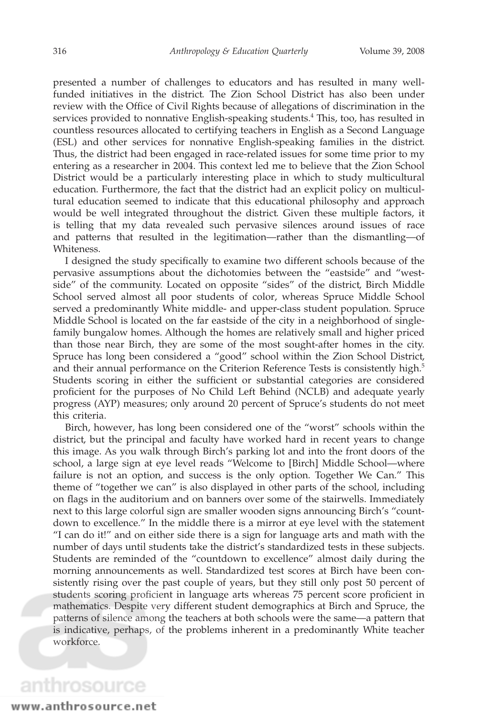presented a number of challenges to educators and has resulted in many wellfunded initiatives in the district. The Zion School District has also been under review with the Office of Civil Rights because of allegations of discrimination in the services provided to nonnative English-speaking students.<sup>4</sup> This, too, has resulted in countless resources allocated to certifying teachers in English as a Second Language (ESL) and other services for nonnative English-speaking families in the district. Thus, the district had been engaged in race-related issues for some time prior to my entering as a researcher in 2004. This context led me to believe that the Zion School District would be a particularly interesting place in which to study multicultural education. Furthermore, the fact that the district had an explicit policy on multicultural education seemed to indicate that this educational philosophy and approach would be well integrated throughout the district. Given these multiple factors, it is telling that my data revealed such pervasive silences around issues of race and patterns that resulted in the legitimation—rather than the dismantling—of Whiteness.

I designed the study specifically to examine two different schools because of the pervasive assumptions about the dichotomies between the "eastside" and "westside" of the community. Located on opposite "sides" of the district, Birch Middle School served almost all poor students of color, whereas Spruce Middle School served a predominantly White middle- and upper-class student population. Spruce Middle School is located on the far eastside of the city in a neighborhood of singlefamily bungalow homes. Although the homes are relatively small and higher priced than those near Birch, they are some of the most sought-after homes in the city. Spruce has long been considered a "good" school within the Zion School District, and their annual performance on the Criterion Reference Tests is consistently high.<sup>5</sup> Students scoring in either the sufficient or substantial categories are considered proficient for the purposes of No Child Left Behind (NCLB) and adequate yearly progress (AYP) measures; only around 20 percent of Spruce's students do not meet this criteria.

Birch, however, has long been considered one of the "worst" schools within the district, but the principal and faculty have worked hard in recent years to change this image. As you walk through Birch's parking lot and into the front doors of the school, a large sign at eye level reads "Welcome to [Birch] Middle School—where failure is not an option, and success is the only option. Together We Can." This theme of "together we can" is also displayed in other parts of the school, including on flags in the auditorium and on banners over some of the stairwells. Immediately next to this large colorful sign are smaller wooden signs announcing Birch's "countdown to excellence." In the middle there is a mirror at eye level with the statement "I can do it!" and on either side there is a sign for language arts and math with the number of days until students take the district's standardized tests in these subjects. Students are reminded of the "countdown to excellence" almost daily during the morning announcements as well. Standardized test scores at Birch have been consistently rising over the past couple of years, but they still only post 50 percent of students scoring proficient in language arts whereas 75 percent score proficient in mathematics. Despite very different student demographics at Birch and Spruce, the patterns of silence among the teachers at both schools were the same—a pattern that is indicative, perhaps, of the problems inherent in a predominantly White teacher workforce.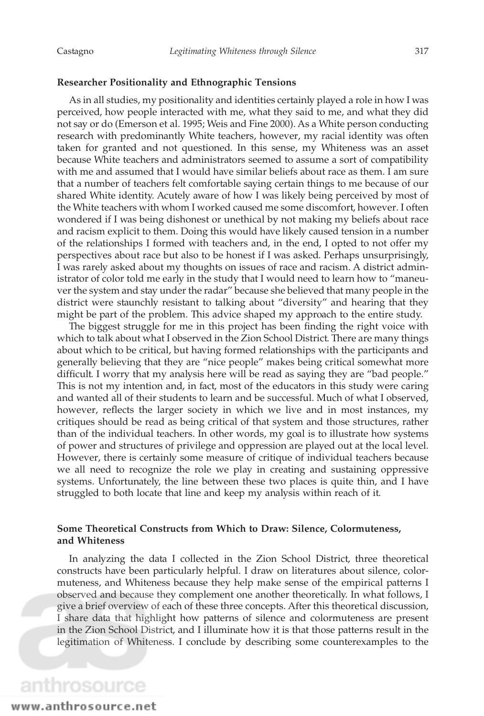### **Researcher Positionality and Ethnographic Tensions**

As in all studies, my positionality and identities certainly played a role in how I was perceived, how people interacted with me, what they said to me, and what they did not say or do (Emerson et al. 1995; Weis and Fine 2000). As a White person conducting research with predominantly White teachers, however, my racial identity was often taken for granted and not questioned. In this sense, my Whiteness was an asset because White teachers and administrators seemed to assume a sort of compatibility with me and assumed that I would have similar beliefs about race as them. I am sure that a number of teachers felt comfortable saying certain things to me because of our shared White identity. Acutely aware of how I was likely being perceived by most of the White teachers with whom I worked caused me some discomfort, however. I often wondered if I was being dishonest or unethical by not making my beliefs about race and racism explicit to them. Doing this would have likely caused tension in a number of the relationships I formed with teachers and, in the end, I opted to not offer my perspectives about race but also to be honest if I was asked. Perhaps unsurprisingly, I was rarely asked about my thoughts on issues of race and racism. A district administrator of color told me early in the study that I would need to learn how to "maneuver the system and stay under the radar" because she believed that many people in the district were staunchly resistant to talking about "diversity" and hearing that they might be part of the problem. This advice shaped my approach to the entire study.

The biggest struggle for me in this project has been finding the right voice with which to talk about what I observed in the Zion School District. There are many things about which to be critical, but having formed relationships with the participants and generally believing that they are "nice people" makes being critical somewhat more difficult. I worry that my analysis here will be read as saying they are "bad people." This is not my intention and, in fact, most of the educators in this study were caring and wanted all of their students to learn and be successful. Much of what I observed, however, reflects the larger society in which we live and in most instances, my critiques should be read as being critical of that system and those structures, rather than of the individual teachers. In other words, my goal is to illustrate how systems of power and structures of privilege and oppression are played out at the local level. However, there is certainly some measure of critique of individual teachers because we all need to recognize the role we play in creating and sustaining oppressive systems. Unfortunately, the line between these two places is quite thin, and I have struggled to both locate that line and keep my analysis within reach of it.

### **Some Theoretical Constructs from Which to Draw: Silence, Colormuteness, and Whiteness**

In analyzing the data I collected in the Zion School District, three theoretical constructs have been particularly helpful. I draw on literatures about silence, colormuteness, and Whiteness because they help make sense of the empirical patterns I observed and because they complement one another theoretically. In what follows, I give a brief overview of each of these three concepts. After this theoretical discussion, I share data that highlight how patterns of silence and colormuteness are present in the Zion School District, and I illuminate how it is that those patterns result in the legitimation of Whiteness. I conclude by describing some counterexamples to the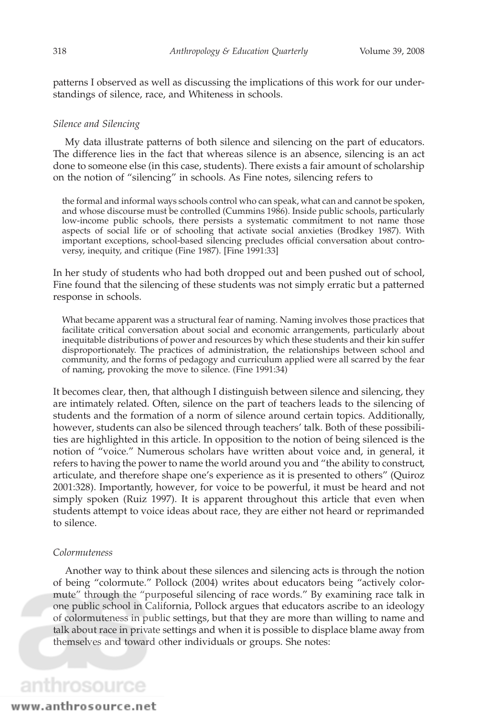patterns I observed as well as discussing the implications of this work for our understandings of silence, race, and Whiteness in schools.

### *Silence and Silencing*

My data illustrate patterns of both silence and silencing on the part of educators. The difference lies in the fact that whereas silence is an absence, silencing is an act done to someone else (in this case, students). There exists a fair amount of scholarship on the notion of "silencing" in schools. As Fine notes, silencing refers to

the formal and informal ways schools control who can speak, what can and cannot be spoken, and whose discourse must be controlled (Cummins 1986). Inside public schools, particularly low-income public schools, there persists a systematic commitment to not name those aspects of social life or of schooling that activate social anxieties (Brodkey 1987). With important exceptions, school-based silencing precludes official conversation about controversy, inequity, and critique (Fine 1987). [Fine 1991:33]

In her study of students who had both dropped out and been pushed out of school, Fine found that the silencing of these students was not simply erratic but a patterned response in schools.

What became apparent was a structural fear of naming. Naming involves those practices that facilitate critical conversation about social and economic arrangements, particularly about inequitable distributions of power and resources by which these students and their kin suffer disproportionately. The practices of administration, the relationships between school and community, and the forms of pedagogy and curriculum applied were all scarred by the fear of naming, provoking the move to silence. (Fine 1991:34)

It becomes clear, then, that although I distinguish between silence and silencing, they are intimately related. Often, silence on the part of teachers leads to the silencing of students and the formation of a norm of silence around certain topics. Additionally, however, students can also be silenced through teachers' talk. Both of these possibilities are highlighted in this article. In opposition to the notion of being silenced is the notion of "voice." Numerous scholars have written about voice and, in general, it refers to having the power to name the world around you and "the ability to construct, articulate, and therefore shape one's experience as it is presented to others" (Quiroz 2001:328). Importantly, however, for voice to be powerful, it must be heard and not simply spoken (Ruiz 1997). It is apparent throughout this article that even when students attempt to voice ideas about race, they are either not heard or reprimanded to silence.

#### *Colormuteness*

Another way to think about these silences and silencing acts is through the notion of being "colormute." Pollock (2004) writes about educators being "actively colormute" through the "purposeful silencing of race words." By examining race talk in one public school in California, Pollock argues that educators ascribe to an ideology of colormuteness in public settings, but that they are more than willing to name and talk about race in private settings and when it is possible to displace blame away from themselves and toward other individuals or groups. She notes: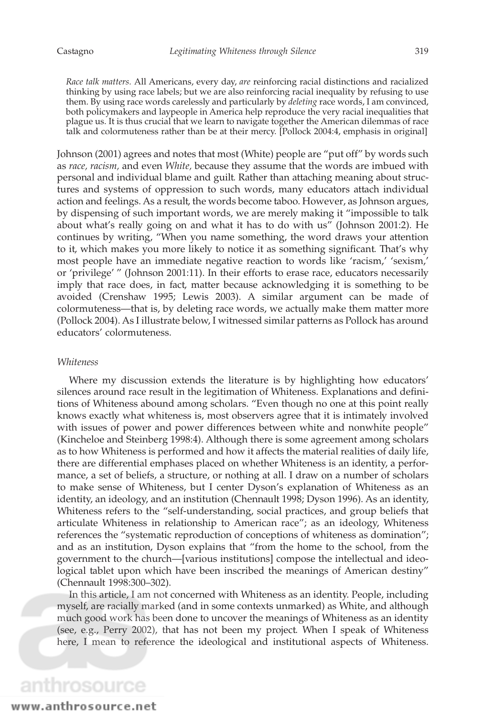*Race talk matters.* All Americans, every day, *are* reinforcing racial distinctions and racialized thinking by using race labels; but we are also reinforcing racial inequality by refusing to use them. By using race words carelessly and particularly by *deleting* race words, I am convinced, both policymakers and laypeople in America help reproduce the very racial inequalities that plague us. It is thus crucial that we learn to navigate together the American dilemmas of race talk and colormuteness rather than be at their mercy. [Pollock 2004:4, emphasis in original]

Johnson (2001) agrees and notes that most (White) people are "put off" by words such as *race, racism,* and even *White,* because they assume that the words are imbued with personal and individual blame and guilt. Rather than attaching meaning about structures and systems of oppression to such words, many educators attach individual action and feelings. As a result, the words become taboo. However, as Johnson argues, by dispensing of such important words, we are merely making it "impossible to talk about what's really going on and what it has to do with us" (Johnson 2001:2). He continues by writing, "When you name something, the word draws your attention to it, which makes you more likely to notice it as something significant. That's why most people have an immediate negative reaction to words like 'racism,' 'sexism,' or 'privilege' " (Johnson 2001:11). In their efforts to erase race, educators necessarily imply that race does, in fact, matter because acknowledging it is something to be avoided (Crenshaw 1995; Lewis 2003). A similar argument can be made of colormuteness—that is, by deleting race words, we actually make them matter more (Pollock 2004). As I illustrate below, I witnessed similar patterns as Pollock has around educators' colormuteness.

### *Whiteness*

Where my discussion extends the literature is by highlighting how educators' silences around race result in the legitimation of Whiteness. Explanations and definitions of Whiteness abound among scholars. "Even though no one at this point really knows exactly what whiteness is, most observers agree that it is intimately involved with issues of power and power differences between white and nonwhite people" (Kincheloe and Steinberg 1998:4). Although there is some agreement among scholars as to how Whiteness is performed and how it affects the material realities of daily life, there are differential emphases placed on whether Whiteness is an identity, a performance, a set of beliefs, a structure, or nothing at all. I draw on a number of scholars to make sense of Whiteness, but I center Dyson's explanation of Whiteness as an identity, an ideology, and an institution (Chennault 1998; Dyson 1996). As an identity, Whiteness refers to the "self-understanding, social practices, and group beliefs that articulate Whiteness in relationship to American race"; as an ideology, Whiteness references the "systematic reproduction of conceptions of whiteness as domination"; and as an institution, Dyson explains that "from the home to the school, from the government to the church—[various institutions] compose the intellectual and ideological tablet upon which have been inscribed the meanings of American destiny" (Chennault 1998:300–302).

In this article, I am not concerned with Whiteness as an identity. People, including myself, are racially marked (and in some contexts unmarked) as White, and although much good work has been done to uncover the meanings of Whiteness as an identity (see, e.g., Perry 2002), that has not been my project. When I speak of Whiteness here, I mean to reference the ideological and institutional aspects of Whiteness.

# anthrosource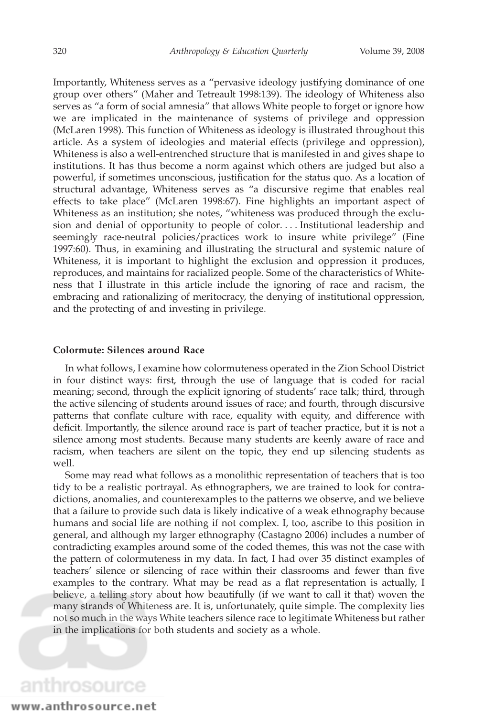Importantly, Whiteness serves as a "pervasive ideology justifying dominance of one group over others" (Maher and Tetreault 1998:139). The ideology of Whiteness also serves as "a form of social amnesia" that allows White people to forget or ignore how we are implicated in the maintenance of systems of privilege and oppression (McLaren 1998). This function of Whiteness as ideology is illustrated throughout this article. As a system of ideologies and material effects (privilege and oppression), Whiteness is also a well-entrenched structure that is manifested in and gives shape to institutions. It has thus become a norm against which others are judged but also a powerful, if sometimes unconscious, justification for the status quo. As a location of structural advantage, Whiteness serves as "a discursive regime that enables real effects to take place" (McLaren 1998:67). Fine highlights an important aspect of Whiteness as an institution; she notes, "whiteness was produced through the exclusion and denial of opportunity to people of color.... Institutional leadership and seemingly race-neutral policies/practices work to insure white privilege" (Fine 1997:60). Thus, in examining and illustrating the structural and systemic nature of Whiteness, it is important to highlight the exclusion and oppression it produces, reproduces, and maintains for racialized people. Some of the characteristics of Whiteness that I illustrate in this article include the ignoring of race and racism, the embracing and rationalizing of meritocracy, the denying of institutional oppression, and the protecting of and investing in privilege.

### **Colormute: Silences around Race**

In what follows, I examine how colormuteness operated in the Zion School District in four distinct ways: first, through the use of language that is coded for racial meaning; second, through the explicit ignoring of students' race talk; third, through the active silencing of students around issues of race; and fourth, through discursive patterns that conflate culture with race, equality with equity, and difference with deficit. Importantly, the silence around race is part of teacher practice, but it is not a silence among most students. Because many students are keenly aware of race and racism, when teachers are silent on the topic, they end up silencing students as well.

Some may read what follows as a monolithic representation of teachers that is too tidy to be a realistic portrayal. As ethnographers, we are trained to look for contradictions, anomalies, and counterexamples to the patterns we observe, and we believe that a failure to provide such data is likely indicative of a weak ethnography because humans and social life are nothing if not complex. I, too, ascribe to this position in general, and although my larger ethnography (Castagno 2006) includes a number of contradicting examples around some of the coded themes, this was not the case with the pattern of colormuteness in my data. In fact, I had over 35 distinct examples of teachers' silence or silencing of race within their classrooms and fewer than five examples to the contrary. What may be read as a flat representation is actually, I believe, a telling story about how beautifully (if we want to call it that) woven the many strands of Whiteness are. It is, unfortunately, quite simple. The complexity lies not so much in the ways White teachers silence race to legitimate Whiteness but rather in the implications for both students and society as a whole.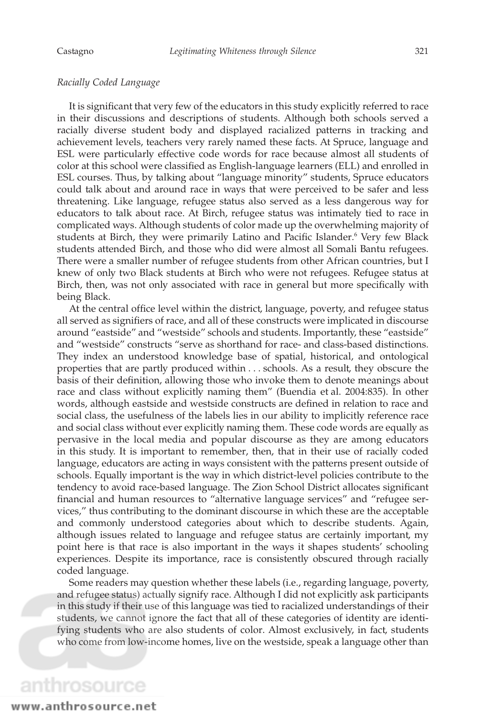### *Racially Coded Language*

It is significant that very few of the educators in this study explicitly referred to race in their discussions and descriptions of students. Although both schools served a racially diverse student body and displayed racialized patterns in tracking and achievement levels, teachers very rarely named these facts. At Spruce, language and ESL were particularly effective code words for race because almost all students of color at this school were classified as English-language learners (ELL) and enrolled in ESL courses. Thus, by talking about "language minority" students, Spruce educators could talk about and around race in ways that were perceived to be safer and less threatening. Like language, refugee status also served as a less dangerous way for educators to talk about race. At Birch, refugee status was intimately tied to race in complicated ways. Although students of color made up the overwhelming majority of students at Birch, they were primarily Latino and Pacific Islander.<sup>6</sup> Very few Black students attended Birch, and those who did were almost all Somali Bantu refugees. There were a smaller number of refugee students from other African countries, but I knew of only two Black students at Birch who were not refugees. Refugee status at Birch, then, was not only associated with race in general but more specifically with being Black.

At the central office level within the district, language, poverty, and refugee status all served as signifiers of race, and all of these constructs were implicated in discourse around "eastside" and "westside" schools and students. Importantly, these "eastside" and "westside" constructs "serve as shorthand for race- and class-based distinctions. They index an understood knowledge base of spatial, historical, and ontological properties that are partly produced within... schools. As a result, they obscure the basis of their definition, allowing those who invoke them to denote meanings about race and class without explicitly naming them" (Buendia et al. 2004:835). In other words, although eastside and westside constructs are defined in relation to race and social class, the usefulness of the labels lies in our ability to implicitly reference race and social class without ever explicitly naming them. These code words are equally as pervasive in the local media and popular discourse as they are among educators in this study. It is important to remember, then, that in their use of racially coded language, educators are acting in ways consistent with the patterns present outside of schools. Equally important is the way in which district-level policies contribute to the tendency to avoid race-based language. The Zion School District allocates significant financial and human resources to "alternative language services" and "refugee services," thus contributing to the dominant discourse in which these are the acceptable and commonly understood categories about which to describe students. Again, although issues related to language and refugee status are certainly important, my point here is that race is also important in the ways it shapes students' schooling experiences. Despite its importance, race is consistently obscured through racially coded language.

Some readers may question whether these labels (i.e., regarding language, poverty, and refugee status) actually signify race. Although I did not explicitly ask participants in this study if their use of this language was tied to racialized understandings of their students, we cannot ignore the fact that all of these categories of identity are identifying students who are also students of color. Almost exclusively, in fact, students who come from low-income homes, live on the westside, speak a language other than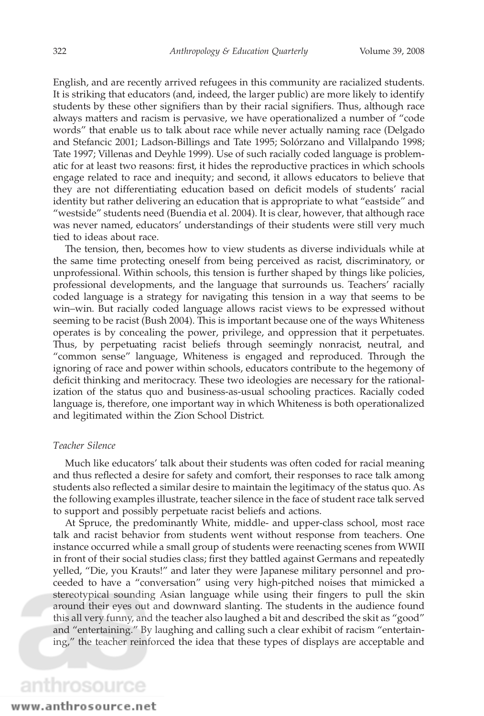English, and are recently arrived refugees in this community are racialized students. It is striking that educators (and, indeed, the larger public) are more likely to identify students by these other signifiers than by their racial signifiers. Thus, although race always matters and racism is pervasive, we have operationalized a number of "code words" that enable us to talk about race while never actually naming race (Delgado and Stefancic 2001; Ladson-Billings and Tate 1995; Solórzano and Villalpando 1998; Tate 1997; Villenas and Deyhle 1999). Use of such racially coded language is problematic for at least two reasons: first, it hides the reproductive practices in which schools engage related to race and inequity; and second, it allows educators to believe that they are not differentiating education based on deficit models of students' racial identity but rather delivering an education that is appropriate to what "eastside" and "westside" students need (Buendia et al. 2004). It is clear, however, that although race was never named, educators' understandings of their students were still very much tied to ideas about race.

The tension, then, becomes how to view students as diverse individuals while at the same time protecting oneself from being perceived as racist, discriminatory, or unprofessional. Within schools, this tension is further shaped by things like policies, professional developments, and the language that surrounds us. Teachers' racially coded language is a strategy for navigating this tension in a way that seems to be win–win. But racially coded language allows racist views to be expressed without seeming to be racist (Bush 2004). This is important because one of the ways Whiteness operates is by concealing the power, privilege, and oppression that it perpetuates. Thus, by perpetuating racist beliefs through seemingly nonracist, neutral, and "common sense" language, Whiteness is engaged and reproduced. Through the ignoring of race and power within schools, educators contribute to the hegemony of deficit thinking and meritocracy. These two ideologies are necessary for the rationalization of the status quo and business-as-usual schooling practices. Racially coded language is, therefore, one important way in which Whiteness is both operationalized and legitimated within the Zion School District.

### *Teacher Silence*

Much like educators' talk about their students was often coded for racial meaning and thus reflected a desire for safety and comfort, their responses to race talk among students also reflected a similar desire to maintain the legitimacy of the status quo. As the following examples illustrate, teacher silence in the face of student race talk served to support and possibly perpetuate racist beliefs and actions.

At Spruce, the predominantly White, middle- and upper-class school, most race talk and racist behavior from students went without response from teachers. One instance occurred while a small group of students were reenacting scenes from WWII in front of their social studies class; first they battled against Germans and repeatedly yelled, "Die, you Krauts!" and later they were Japanese military personnel and proceeded to have a "conversation" using very high-pitched noises that mimicked a stereotypical sounding Asian language while using their fingers to pull the skin around their eyes out and downward slanting. The students in the audience found this all very funny, and the teacher also laughed a bit and described the skit as "good" and "entertaining." By laughing and calling such a clear exhibit of racism "entertaining," the teacher reinforced the idea that these types of displays are acceptable and

## anthrosource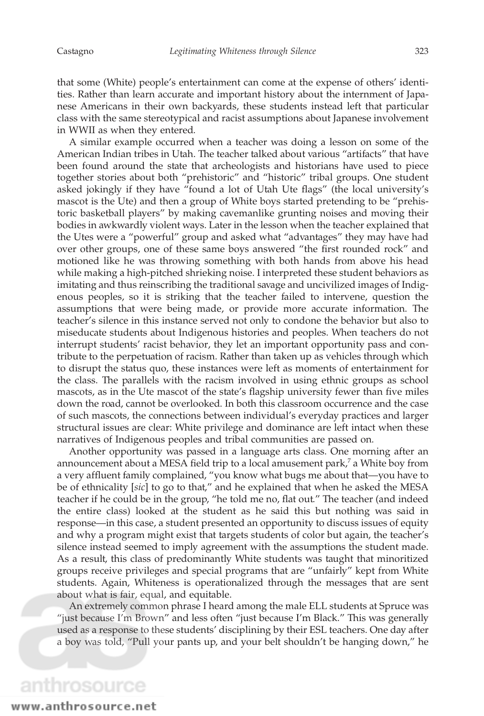that some (White) people's entertainment can come at the expense of others' identities. Rather than learn accurate and important history about the internment of Japanese Americans in their own backyards, these students instead left that particular class with the same stereotypical and racist assumptions about Japanese involvement in WWII as when they entered.

A similar example occurred when a teacher was doing a lesson on some of the American Indian tribes in Utah. The teacher talked about various "artifacts" that have been found around the state that archeologists and historians have used to piece together stories about both "prehistoric" and "historic" tribal groups. One student asked jokingly if they have "found a lot of Utah Ute flags" (the local university's mascot is the Ute) and then a group of White boys started pretending to be "prehistoric basketball players" by making cavemanlike grunting noises and moving their bodies in awkwardly violent ways. Later in the lesson when the teacher explained that the Utes were a "powerful" group and asked what "advantages" they may have had over other groups, one of these same boys answered "the first rounded rock" and motioned like he was throwing something with both hands from above his head while making a high-pitched shrieking noise. I interpreted these student behaviors as imitating and thus reinscribing the traditional savage and uncivilized images of Indigenous peoples, so it is striking that the teacher failed to intervene, question the assumptions that were being made, or provide more accurate information. The teacher's silence in this instance served not only to condone the behavior but also to miseducate students about Indigenous histories and peoples. When teachers do not interrupt students' racist behavior, they let an important opportunity pass and contribute to the perpetuation of racism. Rather than taken up as vehicles through which to disrupt the status quo, these instances were left as moments of entertainment for the class. The parallels with the racism involved in using ethnic groups as school mascots, as in the Ute mascot of the state's flagship university fewer than five miles down the road, cannot be overlooked. In both this classroom occurrence and the case of such mascots, the connections between individual's everyday practices and larger structural issues are clear: White privilege and dominance are left intact when these narratives of Indigenous peoples and tribal communities are passed on.

Another opportunity was passed in a language arts class. One morning after an announcement about a MESA field trip to a local amusement park, $7$  a White boy from a very affluent family complained, "you know what bugs me about that—you have to be of ethnicality [*sic*] to go to that," and he explained that when he asked the MESA teacher if he could be in the group, "he told me no, flat out." The teacher (and indeed the entire class) looked at the student as he said this but nothing was said in response—in this case, a student presented an opportunity to discuss issues of equity and why a program might exist that targets students of color but again, the teacher's silence instead seemed to imply agreement with the assumptions the student made. As a result, this class of predominantly White students was taught that minoritized groups receive privileges and special programs that are "unfairly" kept from White students. Again, Whiteness is operationalized through the messages that are sent about what is fair, equal, and equitable.

An extremely common phrase I heard among the male ELL students at Spruce was "just because I'm Brown" and less often "just because I'm Black." This was generally used as a response to these students' disciplining by their ESL teachers. One day after a boy was told, "Pull your pants up, and your belt shouldn't be hanging down," he

## anthrosource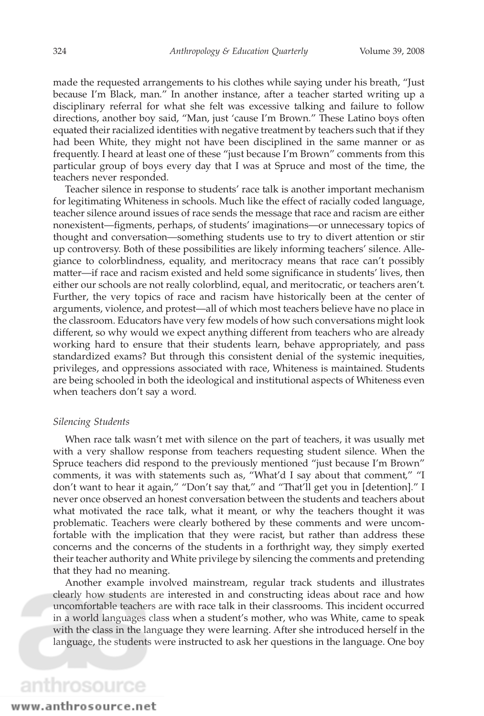made the requested arrangements to his clothes while saying under his breath, "Just because I'm Black, man." In another instance, after a teacher started writing up a disciplinary referral for what she felt was excessive talking and failure to follow directions, another boy said, "Man, just 'cause I'm Brown." These Latino boys often equated their racialized identities with negative treatment by teachers such that if they had been White, they might not have been disciplined in the same manner or as frequently. I heard at least one of these "just because I'm Brown" comments from this particular group of boys every day that I was at Spruce and most of the time, the teachers never responded.

Teacher silence in response to students' race talk is another important mechanism for legitimating Whiteness in schools. Much like the effect of racially coded language, teacher silence around issues of race sends the message that race and racism are either nonexistent—figments, perhaps, of students' imaginations—or unnecessary topics of thought and conversation—something students use to try to divert attention or stir up controversy. Both of these possibilities are likely informing teachers' silence. Allegiance to colorblindness, equality, and meritocracy means that race can't possibly matter—if race and racism existed and held some significance in students' lives, then either our schools are not really colorblind, equal, and meritocratic, or teachers aren't. Further, the very topics of race and racism have historically been at the center of arguments, violence, and protest—all of which most teachers believe have no place in the classroom. Educators have very few models of how such conversations might look different, so why would we expect anything different from teachers who are already working hard to ensure that their students learn, behave appropriately, and pass standardized exams? But through this consistent denial of the systemic inequities, privileges, and oppressions associated with race, Whiteness is maintained. Students are being schooled in both the ideological and institutional aspects of Whiteness even when teachers don't say a word.

#### *Silencing Students*

When race talk wasn't met with silence on the part of teachers, it was usually met with a very shallow response from teachers requesting student silence. When the Spruce teachers did respond to the previously mentioned "just because I'm Brown" comments, it was with statements such as, "What'd I say about that comment," "I don't want to hear it again," "Don't say that," and "That'll get you in [detention]." I never once observed an honest conversation between the students and teachers about what motivated the race talk, what it meant, or why the teachers thought it was problematic. Teachers were clearly bothered by these comments and were uncomfortable with the implication that they were racist, but rather than address these concerns and the concerns of the students in a forthright way, they simply exerted their teacher authority and White privilege by silencing the comments and pretending that they had no meaning.

Another example involved mainstream, regular track students and illustrates clearly how students are interested in and constructing ideas about race and how uncomfortable teachers are with race talk in their classrooms. This incident occurred in a world languages class when a student's mother, who was White, came to speak with the class in the language they were learning. After she introduced herself in the language, the students were instructed to ask her questions in the language. One boy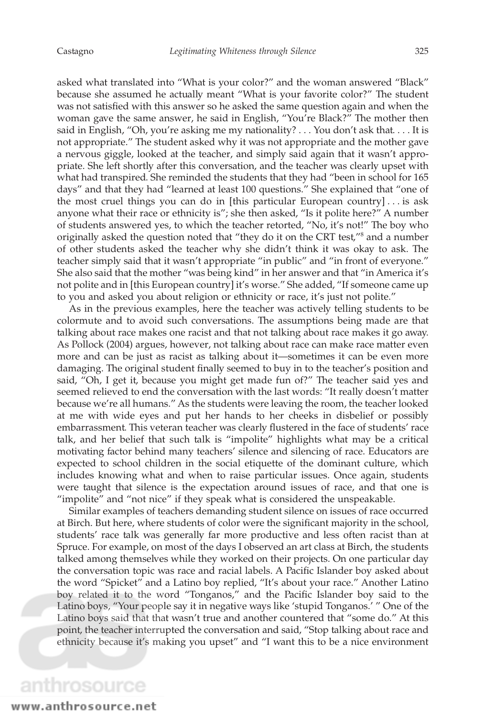asked what translated into "What is your color?" and the woman answered "Black" because she assumed he actually meant "What is your favorite color?" The student was not satisfied with this answer so he asked the same question again and when the woman gave the same answer, he said in English, "You're Black?" The mother then said in English, "Oh, you're asking me my nationality? . . . You don't ask that. . . . It is not appropriate." The student asked why it was not appropriate and the mother gave a nervous giggle, looked at the teacher, and simply said again that it wasn't appropriate. She left shortly after this conversation, and the teacher was clearly upset with what had transpired. She reminded the students that they had "been in school for 165 days" and that they had "learned at least 100 questions." She explained that "one of the most cruel things you can do in [this particular European country] . . . is ask anyone what their race or ethnicity is"; she then asked, "Is it polite here?" A number of students answered yes, to which the teacher retorted, "No, it's not!" The boy who originally asked the question noted that "they do it on the CRT test,"8 and a number of other students asked the teacher why she didn't think it was okay to ask. The teacher simply said that it wasn't appropriate "in public" and "in front of everyone." She also said that the mother "was being kind" in her answer and that "in America it's not polite and in [this European country] it's worse." She added, "If someone came up to you and asked you about religion or ethnicity or race, it's just not polite."

As in the previous examples, here the teacher was actively telling students to be colormute and to avoid such conversations. The assumptions being made are that talking about race makes one racist and that not talking about race makes it go away. As Pollock (2004) argues, however, not talking about race can make race matter even more and can be just as racist as talking about it—sometimes it can be even more damaging. The original student finally seemed to buy in to the teacher's position and said, "Oh, I get it, because you might get made fun of?" The teacher said yes and seemed relieved to end the conversation with the last words: "It really doesn't matter because we're all humans." As the students were leaving the room, the teacher looked at me with wide eyes and put her hands to her cheeks in disbelief or possibly embarrassment. This veteran teacher was clearly flustered in the face of students' race talk, and her belief that such talk is "impolite" highlights what may be a critical motivating factor behind many teachers' silence and silencing of race. Educators are expected to school children in the social etiquette of the dominant culture, which includes knowing what and when to raise particular issues. Once again, students were taught that silence is the expectation around issues of race, and that one is "impolite" and "not nice" if they speak what is considered the unspeakable.

Similar examples of teachers demanding student silence on issues of race occurred at Birch. But here, where students of color were the significant majority in the school, students' race talk was generally far more productive and less often racist than at Spruce. For example, on most of the days I observed an art class at Birch, the students talked among themselves while they worked on their projects. On one particular day the conversation topic was race and racial labels. A Pacific Islander boy asked about the word "Spicket" and a Latino boy replied, "It's about your race." Another Latino boy related it to the word "Tonganos," and the Pacific Islander boy said to the Latino boys, "Your people say it in negative ways like 'stupid Tonganos.' " One of the Latino boys said that that wasn't true and another countered that "some do." At this point, the teacher interrupted the conversation and said, "Stop talking about race and ethnicity because it's making you upset" and "I want this to be a nice environment

anthrosource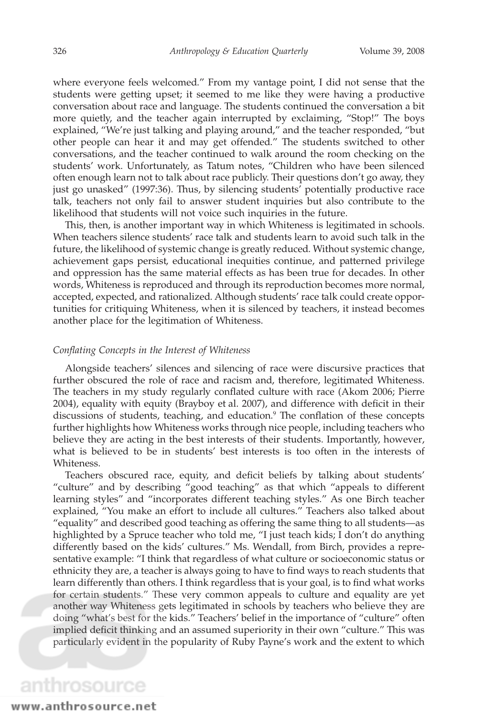where everyone feels welcomed." From my vantage point, I did not sense that the students were getting upset; it seemed to me like they were having a productive conversation about race and language. The students continued the conversation a bit more quietly, and the teacher again interrupted by exclaiming, "Stop!" The boys explained, "We're just talking and playing around," and the teacher responded, "but other people can hear it and may get offended." The students switched to other conversations, and the teacher continued to walk around the room checking on the students' work. Unfortunately, as Tatum notes, "Children who have been silenced often enough learn not to talk about race publicly. Their questions don't go away, they just go unasked" (1997:36). Thus, by silencing students' potentially productive race talk, teachers not only fail to answer student inquiries but also contribute to the likelihood that students will not voice such inquiries in the future.

This, then, is another important way in which Whiteness is legitimated in schools. When teachers silence students' race talk and students learn to avoid such talk in the future, the likelihood of systemic change is greatly reduced. Without systemic change, achievement gaps persist, educational inequities continue, and patterned privilege and oppression has the same material effects as has been true for decades. In other words, Whiteness is reproduced and through its reproduction becomes more normal, accepted, expected, and rationalized. Although students' race talk could create opportunities for critiquing Whiteness, when it is silenced by teachers, it instead becomes another place for the legitimation of Whiteness.

### *Conflating Concepts in the Interest of Whiteness*

Alongside teachers' silences and silencing of race were discursive practices that further obscured the role of race and racism and, therefore, legitimated Whiteness. The teachers in my study regularly conflated culture with race (Akom 2006; Pierre 2004), equality with equity (Brayboy et al. 2007), and difference with deficit in their discussions of students, teaching, and education.<sup>9</sup> The conflation of these concepts further highlights how Whiteness works through nice people, including teachers who believe they are acting in the best interests of their students. Importantly, however, what is believed to be in students' best interests is too often in the interests of Whiteness.

Teachers obscured race, equity, and deficit beliefs by talking about students' "culture" and by describing "good teaching" as that which "appeals to different learning styles" and "incorporates different teaching styles." As one Birch teacher explained, "You make an effort to include all cultures." Teachers also talked about "equality" and described good teaching as offering the same thing to all students—as highlighted by a Spruce teacher who told me, "I just teach kids; I don't do anything differently based on the kids' cultures." Ms. Wendall, from Birch, provides a representative example: "I think that regardless of what culture or socioeconomic status or ethnicity they are, a teacher is always going to have to find ways to reach students that learn differently than others. I think regardless that is your goal, is to find what works for certain students." These very common appeals to culture and equality are yet another way Whiteness gets legitimated in schools by teachers who believe they are doing "what's best for the kids." Teachers' belief in the importance of "culture" often implied deficit thinking and an assumed superiority in their own "culture." This was particularly evident in the popularity of Ruby Payne's work and the extent to which

## anthrosource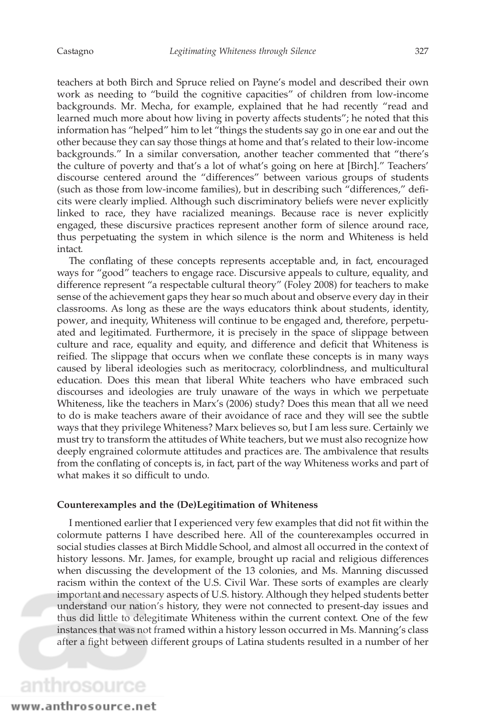teachers at both Birch and Spruce relied on Payne's model and described their own work as needing to "build the cognitive capacities" of children from low-income backgrounds. Mr. Mecha, for example, explained that he had recently "read and learned much more about how living in poverty affects students"; he noted that this information has "helped" him to let "things the students say go in one ear and out the other because they can say those things at home and that's related to their low-income backgrounds." In a similar conversation, another teacher commented that "there's the culture of poverty and that's a lot of what's going on here at [Birch]." Teachers' discourse centered around the "differences" between various groups of students (such as those from low-income families), but in describing such "differences," deficits were clearly implied. Although such discriminatory beliefs were never explicitly linked to race, they have racialized meanings. Because race is never explicitly engaged, these discursive practices represent another form of silence around race, thus perpetuating the system in which silence is the norm and Whiteness is held intact.

The conflating of these concepts represents acceptable and, in fact, encouraged ways for "good" teachers to engage race. Discursive appeals to culture, equality, and difference represent "a respectable cultural theory" (Foley 2008) for teachers to make sense of the achievement gaps they hear so much about and observe every day in their classrooms. As long as these are the ways educators think about students, identity, power, and inequity, Whiteness will continue to be engaged and, therefore, perpetuated and legitimated. Furthermore, it is precisely in the space of slippage between culture and race, equality and equity, and difference and deficit that Whiteness is reified. The slippage that occurs when we conflate these concepts is in many ways caused by liberal ideologies such as meritocracy, colorblindness, and multicultural education. Does this mean that liberal White teachers who have embraced such discourses and ideologies are truly unaware of the ways in which we perpetuate Whiteness, like the teachers in Marx's (2006) study? Does this mean that all we need to do is make teachers aware of their avoidance of race and they will see the subtle ways that they privilege Whiteness? Marx believes so, but I am less sure. Certainly we must try to transform the attitudes of White teachers, but we must also recognize how deeply engrained colormute attitudes and practices are. The ambivalence that results from the conflating of concepts is, in fact, part of the way Whiteness works and part of what makes it so difficult to undo.

### **Counterexamples and the (De)Legitimation of Whiteness**

I mentioned earlier that I experienced very few examples that did not fit within the colormute patterns I have described here. All of the counterexamples occurred in social studies classes at Birch Middle School, and almost all occurred in the context of history lessons. Mr. James, for example, brought up racial and religious differences when discussing the development of the 13 colonies, and Ms. Manning discussed racism within the context of the U.S. Civil War. These sorts of examples are clearly important and necessary aspects of U.S. history. Although they helped students better understand our nation's history, they were not connected to present-day issues and thus did little to delegitimate Whiteness within the current context. One of the few instances that was not framed within a history lesson occurred in Ms. Manning's class after a fight between different groups of Latina students resulted in a number of her

## anthrosource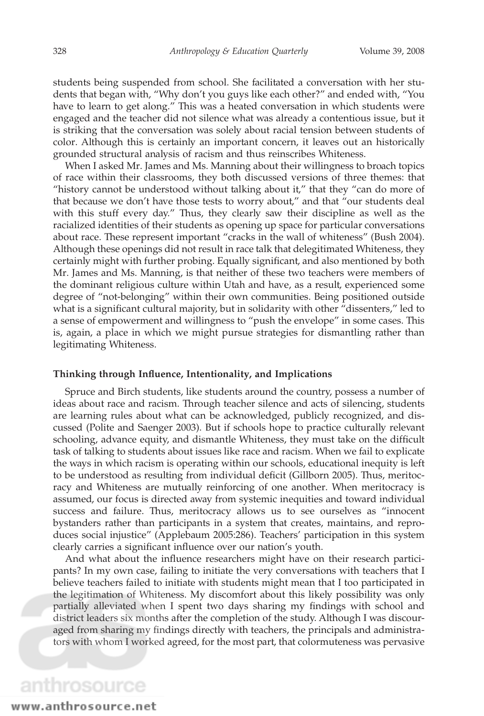students being suspended from school. She facilitated a conversation with her students that began with, "Why don't you guys like each other?" and ended with, "You have to learn to get along." This was a heated conversation in which students were engaged and the teacher did not silence what was already a contentious issue, but it is striking that the conversation was solely about racial tension between students of color. Although this is certainly an important concern, it leaves out an historically grounded structural analysis of racism and thus reinscribes Whiteness.

When I asked Mr. James and Ms. Manning about their willingness to broach topics of race within their classrooms, they both discussed versions of three themes: that "history cannot be understood without talking about it," that they "can do more of that because we don't have those tests to worry about," and that "our students deal with this stuff every day." Thus, they clearly saw their discipline as well as the racialized identities of their students as opening up space for particular conversations about race. These represent important "cracks in the wall of whiteness" (Bush 2004). Although these openings did not result in race talk that delegitimated Whiteness, they certainly might with further probing. Equally significant, and also mentioned by both Mr. James and Ms. Manning, is that neither of these two teachers were members of the dominant religious culture within Utah and have, as a result, experienced some degree of "not-belonging" within their own communities. Being positioned outside what is a significant cultural majority, but in solidarity with other "dissenters," led to a sense of empowerment and willingness to "push the envelope" in some cases. This is, again, a place in which we might pursue strategies for dismantling rather than legitimating Whiteness.

### **Thinking through Influence, Intentionality, and Implications**

Spruce and Birch students, like students around the country, possess a number of ideas about race and racism. Through teacher silence and acts of silencing, students are learning rules about what can be acknowledged, publicly recognized, and discussed (Polite and Saenger 2003). But if schools hope to practice culturally relevant schooling, advance equity, and dismantle Whiteness, they must take on the difficult task of talking to students about issues like race and racism. When we fail to explicate the ways in which racism is operating within our schools, educational inequity is left to be understood as resulting from individual deficit (Gillborn 2005). Thus, meritocracy and Whiteness are mutually reinforcing of one another. When meritocracy is assumed, our focus is directed away from systemic inequities and toward individual success and failure. Thus, meritocracy allows us to see ourselves as "innocent bystanders rather than participants in a system that creates, maintains, and reproduces social injustice" (Applebaum 2005:286). Teachers' participation in this system clearly carries a significant influence over our nation's youth.

And what about the influence researchers might have on their research participants? In my own case, failing to initiate the very conversations with teachers that I believe teachers failed to initiate with students might mean that I too participated in the legitimation of Whiteness. My discomfort about this likely possibility was only partially alleviated when I spent two days sharing my findings with school and district leaders six months after the completion of the study. Although I was discouraged from sharing my findings directly with teachers, the principals and administrators with whom I worked agreed, for the most part, that colormuteness was pervasive

### www.anthrosource.net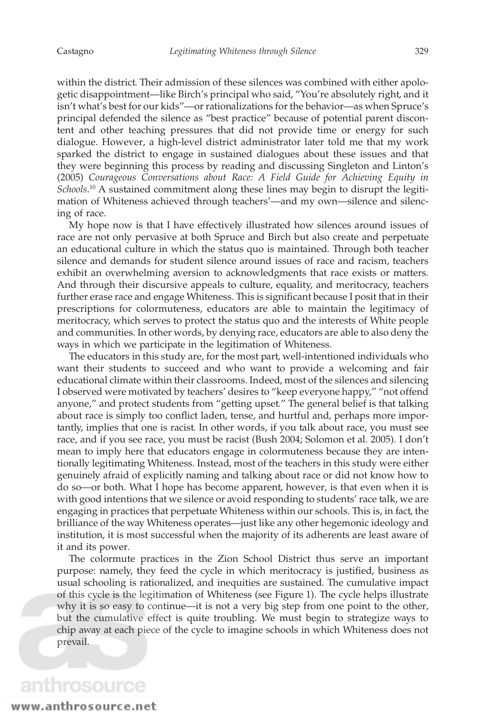within the district. Their admission of these silences was combined with either apologetic disappointment—like Birch's principal who said, "You're absolutely right, and it isn't what's best for our kids"—or rationalizations for the behavior—as when Spruce's principal defended the silence as "best practice" because of potential parent discontent and other teaching pressures that did not provide time or energy for such dialogue. However, a high-level district administrator later told me that my work sparked the district to engage in sustained dialogues about these issues and that they were beginning this process by reading and discussing Singleton and Linton's (2005) *Courageous Conversations about Race: A Field Guide for Achieving Equity in* Schools.<sup>10</sup> A sustained commitment along these lines may begin to disrupt the legitimation of Whiteness achieved through teachers'—and my own—silence and silencing of race.

My hope now is that I have effectively illustrated how silences around issues of race are not only pervasive at both Spruce and Birch but also create and perpetuate an educational culture in which the status quo is maintained. Through both teacher silence and demands for student silence around issues of race and racism, teachers exhibit an overwhelming aversion to acknowledgments that race exists or matters. And through their discursive appeals to culture, equality, and meritocracy, teachers further erase race and engage Whiteness. This is significant because I posit that in their prescriptions for colormuteness, educators are able to maintain the legitimacy of meritocracy, which serves to protect the status quo and the interests of White people and communities. In other words, by denying race, educators are able to also deny the ways in which we participate in the legitimation of Whiteness.

The educators in this study are, for the most part, well-intentioned individuals who want their students to succeed and who want to provide a welcoming and fair educational climate within their classrooms. Indeed, most of the silences and silencing I observed were motivated by teachers' desires to "keep everyone happy," "not offend anyone," and protect students from "getting upset." The general belief is that talking about race is simply too conflict laden, tense, and hurtful and, perhaps more importantly, implies that one is racist. In other words, if you talk about race, you must see race, and if you see race, you must be racist (Bush 2004; Solomon et al. 2005). I don't mean to imply here that educators engage in colormuteness because they are intentionally legitimating Whiteness. Instead, most of the teachers in this study were either genuinely afraid of explicitly naming and talking about race or did not know how to do so—or both. What I hope has become apparent, however, is that even when it is with good intentions that we silence or avoid responding to students' race talk, we are engaging in practices that perpetuate Whiteness within our schools. This is, in fact, the brilliance of the way Whiteness operates—just like any other hegemonic ideology and institution, it is most successful when the majority of its adherents are least aware of it and its power.

The colormute practices in the Zion School District thus serve an important purpose: namely, they feed the cycle in which meritocracy is justified, business as usual schooling is rationalized, and inequities are sustained. The cumulative impact of this cycle is the legitimation of Whiteness (see Figure 1). The cycle helps illustrate why it is so easy to continue—it is not a very big step from one point to the other, but the cumulative effect is quite troubling. We must begin to strategize ways to chip away at each piece of the cycle to imagine schools in which Whiteness does not prevail.

## anthrosource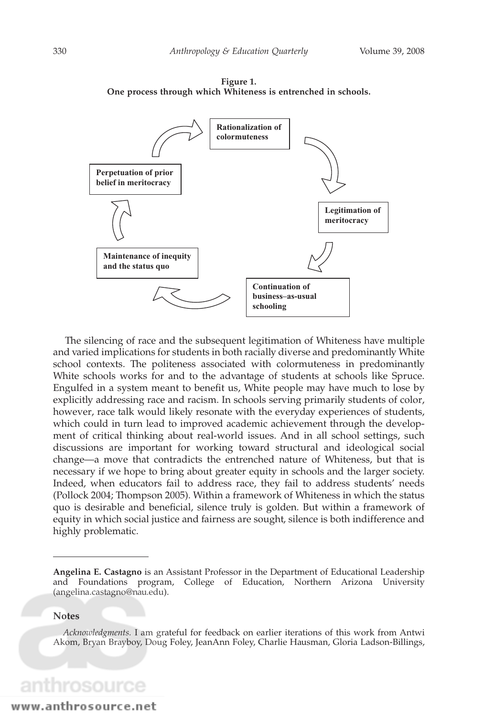



The silencing of race and the subsequent legitimation of Whiteness have multiple and varied implications for students in both racially diverse and predominantly White school contexts. The politeness associated with colormuteness in predominantly White schools works for and to the advantage of students at schools like Spruce. Engulfed in a system meant to benefit us, White people may have much to lose by explicitly addressing race and racism. In schools serving primarily students of color, however, race talk would likely resonate with the everyday experiences of students, which could in turn lead to improved academic achievement through the development of critical thinking about real-world issues. And in all school settings, such discussions are important for working toward structural and ideological social change—a move that contradicts the entrenched nature of Whiteness, but that is necessary if we hope to bring about greater equity in schools and the larger society. Indeed, when educators fail to address race, they fail to address students' needs (Pollock 2004; Thompson 2005). Within a framework of Whiteness in which the status quo is desirable and beneficial, silence truly is golden. But within a framework of equity in which social justice and fairness are sought, silence is both indifference and highly problematic.

### **Notes**

www.anthrosource.net

**Angelina E. Castagno** is an Assistant Professor in the Department of Educational Leadership and Foundations program, College of Education, Northern Arizona University (angelina[.castagno@nau.edu\).](mailto:castagno@nau.edu)

*Acknowledgments.* I am grateful for feedback on earlier iterations of this work from Antwi Akom, Bryan Brayboy, Doug Foley, JeanAnn Foley, Charlie Hausman, Gloria Ladson-Billings,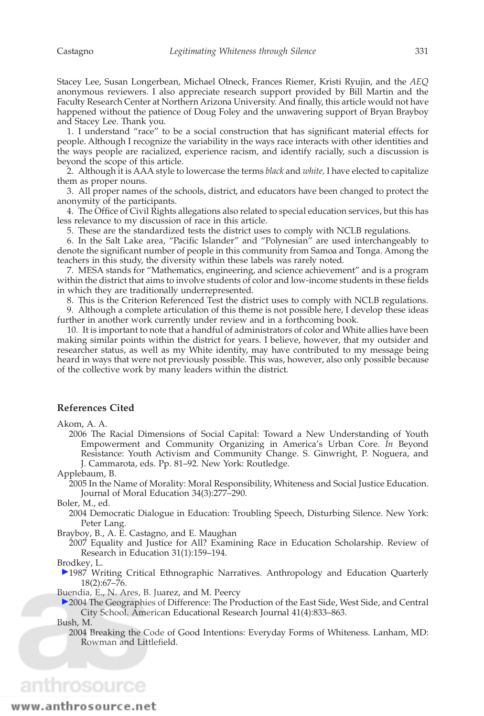Stacey Lee, Susan Longerbean, Michael Olneck, Frances Riemer, Kristi Ryujin, and the *AEQ* anonymous reviewers. I also appreciate research support provided by Bill Martin and the Faculty Research Center at Northern Arizona University. And finally, this article would not have happened without the patience of Doug Foley and the unwavering support of Bryan Brayboy and Stacey Lee. Thank you.

1. I understand "race" to be a social construction that has significant material effects for people. Although I recognize the variability in the ways race interacts with other identities and the ways people are racialized, experience racism, and identify racially, such a discussion is beyond the scope of this article.

2. Although it is AAA style to lowercase the terms *black* and *white,* I have elected to capitalize them as proper nouns.

3. All proper names of the schools, district, and educators have been changed to protect the anonymity of the participants.

4. The Office of Civil Rights allegations also related to special education services, but this has less relevance to my discussion of race in this article.

5. These are the standardized tests the district uses to comply with NCLB regulations.

6. In the Salt Lake area, "Pacific Islander" and "Polynesian" are used interchangeably to denote the significant number of people in this community from Samoa and Tonga. Among the teachers in this study, the diversity within these labels was rarely noted.

7. MESA stands for "Mathematics, engineering, and science achievement" and is a program within the district that aims to involve students of color and low-income students in these fields in which they are traditionally underrepresented.

8. This is the Criterion Referenced Test the district uses to comply with NCLB regulations.

9. Although a complete articulation of this theme is not possible here, I develop these ideas further in another work currently under review and in a forthcoming book.

10. It is important to note that a handful of administrators of color and White allies have been making similar points within the district for years. I believe, however, that my outsider and researcher status, as well as my White identity, may have contributed to my message being heard in ways that were not previously possible. This was, however, also only possible because of the collective work by many leaders within the district.

### **References Cited**

Akom, A. A.

2006 The Racial Dimensions of Social Capital: Toward a New Understanding of Youth Empowerment and Community Organizing in America's Urban Core. *In* Beyond Resistance: Youth Activism and Community Change. S. Ginwright, P. Noguera, and J. Cammarota, eds. Pp. 81–92. New York: Routledge.

Applebaum, B.

2005 In the Name of Morality: Moral Responsibility, Whiteness and Social Justice Education. Journal of Moral Education 34(3):277–290.

Boler, M., ed.

2004 Democratic Dialogue in Education: Troubling Speech, Disturbing Silence. New York: Peter Lang.

Brayboy, B., A. E. Castagno, and E. Maughan

2007 Equality and Justice for All? Examining Race in Education Scholarship. Review of Research in Education 31(1):159–194.

Brodkey, L.

1987 Writing Critical Ethnographic Narratives. Anthropology and Education Quarterly 18(2):67–76.

Buendia, E., N. Ares, B. Juarez, and M. Peercy

2004 The Geographies of Difference: The Production of the East Side, West Side, and Central City School. American Educational Research Journal 41(4):833–863.

Bush, M.

2004 Breaking the Code of Good Intentions: Everyday Forms of Whiteness. Lanham, MD: Rowman and Littlefield.

anthrosource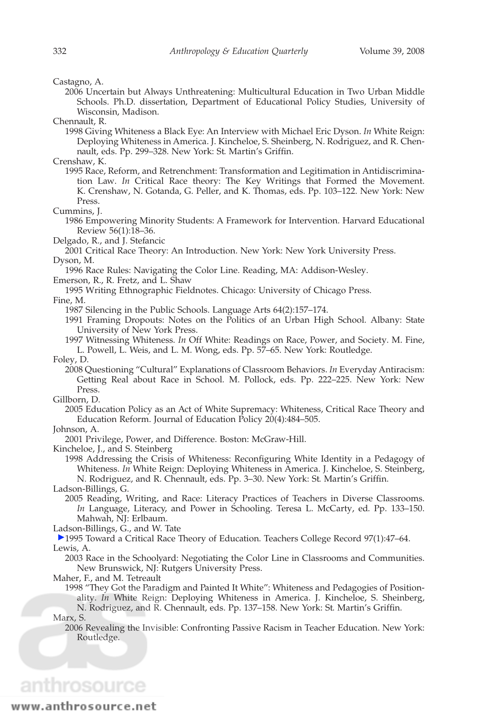Castagno, A.

2006 Uncertain but Always Unthreatening: Multicultural Education in Two Urban Middle Schools. Ph.D. dissertation, Department of Educational Policy Studies, University of Wisconsin, Madison.

Chennault, R.

1998 Giving Whiteness a Black Eye: An Interview with Michael Eric Dyson. *In* White Reign: Deploying Whiteness in America. J. Kincheloe, S. Sheinberg, N. Rodriguez, and R. Chennault, eds. Pp. 299–328. New York: St. Martin's Griffin.

Crenshaw, K.

1995 Race, Reform, and Retrenchment: Transformation and Legitimation in Antidiscrimination Law. *In* Critical Race theory: The Key Writings that Formed the Movement. K. Crenshaw, N. Gotanda, G. Peller, and K. Thomas, eds. Pp. 103–122. New York: New Press.

Cummins, J.

1986 Empowering Minority Students: A Framework for Intervention. Harvard Educational Review 56(1):18–36.

Delgado, R., and J. Stefancic

2001 Critical Race Theory: An Introduction. New York: New York University Press. Dyson, M.

1996 Race Rules: Navigating the Color Line. Reading, MA: Addison-Wesley.

Emerson, R., R. Fretz, and L. Shaw

1995 Writing Ethnographic Fieldnotes. Chicago: University of Chicago Press.

Fine, M.

1987 Silencing in the Public Schools. Language Arts 64(2):157–174.

1991 Framing Dropouts: Notes on the Politics of an Urban High School. Albany: State University of New York Press.

1997 Witnessing Whiteness. *In* Off White: Readings on Race, Power, and Society. M. Fine, L. Powell, L. Weis, and L. M. Wong, eds. Pp. 57–65. New York: Routledge.

Foley, D.

2008 Questioning "Cultural" Explanations of Classroom Behaviors. *In* Everyday Antiracism: Getting Real about Race in School. M. Pollock, eds. Pp. 222–225. New York: New Press.

Gillborn, D.

2005 Education Policy as an Act of White Supremacy: Whiteness, Critical Race Theory and Education Reform. Journal of Education Policy 20(4):484–505.

Johnson, A.

2001 Privilege, Power, and Difference. Boston: McGraw-Hill.

Kincheloe, J., and S. Steinberg

1998 Addressing the Crisis of Whiteness: Reconfiguring White Identity in a Pedagogy of Whiteness. *In* White Reign: Deploying Whiteness in America. J. Kincheloe, S. Steinberg, N. Rodriguez, and R. Chennault, eds. Pp. 3–30. New York: St. Martin's Griffin.

Ladson-Billings, G.

2005 Reading, Writing, and Race: Literacy Practices of Teachers in Diverse Classrooms. *In* Language, Literacy, and Power in Schooling. Teresa L. McCarty, ed. Pp. 133–150. Mahwah, NJ: Erlbaum.

Ladson-Billings, G., and W. Tate

1995 Toward a Critical Race Theory of Education. Teachers College Record 97(1):47–64. Lewis, A.

2003 Race in the Schoolyard: Negotiating the Color Line in Classrooms and Communities. New Brunswick, NJ: Rutgers University Press.

Maher, F., and M. Tetreault

1998 "They Got the Paradigm and Painted It White": Whiteness and Pedagogies of Positionality. *In* White Reign: Deploying Whiteness in America. J. Kincheloe, S. Sheinberg, N. Rodriguez, and R. Chennault, eds. Pp. 137–158. New York: St. Martin's Griffin.

Marx, S.

2006 Revealing the Invisible: Confronting Passive Racism in Teacher Education. New York: Routledge.